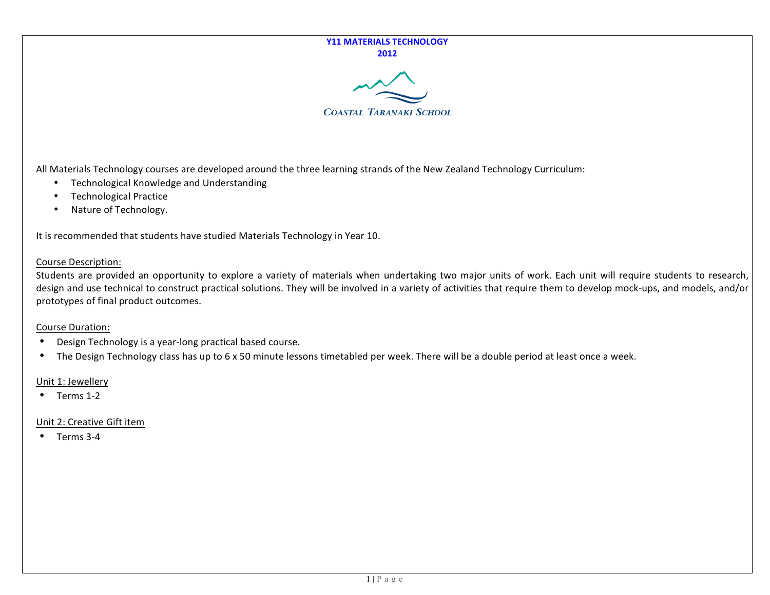## **Y11 MATERIALS TECHNOLOGY 2012#**



All Materials Technology courses are developed around the three learning strands of the New Zealand Technology Curriculum:

- Technological Knowledge and Understanding
- Technological Practice
- Nature of Technology.

It is recommended that students have studied Materials Technology in Year 10.

# Course Description:

Students are provided an opportunity to explore a variety of materials when undertaking two major units of work. Each unit will require students to research, design and use technical to construct practical solutions. They will be involved in a variety of activities that require them to develop mock-ups, and models, and/or prototypes of final product outcomes.

## Course Duration:

- Design Technology is a year-long practical based course.
- The Design Technology class has up to 6 x 50 minute lessons timetabled per week. There will be a double period at least once a week.

# Unit 1: Jewellery

 $\bullet$  Terms 1-2

# Unit 2: Creative Gift item

 $\bullet$  Terms 3-4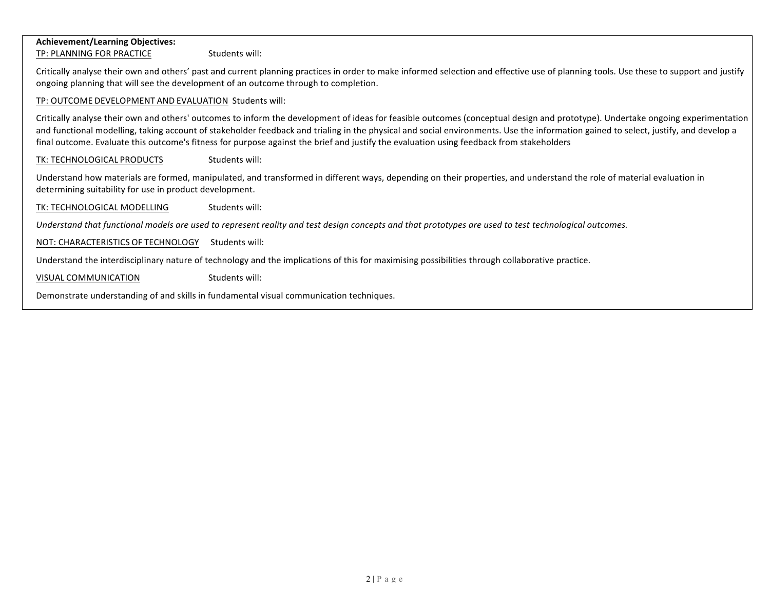## **Achievement/Learning#Objectives:**

TP: PLANNING FOR PRACTICE Students will:

Critically analyse their own and others' past and current planning practices in order to make informed selection and effective use of planning tools. Use these to support and justify ongoing planning that will see the development of an outcome through to completion.

## TP: OUTCOME DEVELOPMENT AND EVALUATION Students will:

Critically analyse their own and others' outcomes to inform the development of ideas for feasible outcomes (conceptual design and prototype). Undertake ongoing experimentation and functional modelling, taking account of stakeholder feedback and trialing in the physical and social environments. Use the information gained to select, justify, and develop a final outcome. Evaluate this outcome's fitness for purpose against the brief and justify the evaluation using feedback from stakeholders

TK: TECHNOLOGICAL PRODUCTS Students will:

Understand how materials are formed, manipulated, and transformed in different ways, depending on their properties, and understand the role of material evaluation in determining suitability for use in product development.

TK: TECHNOLOGICAL MODELLING Students will:

*Understand)that)functional)models)are)used)to)represent)reality)and)test)design)concepts)and)that)prototypes)are)used)to)test technological)outcomes.*

NOT: CHARACTERISTICS OF TECHNOLOGY Students will:

Understand the interdisciplinary nature of technology and the implications of this for maximising possibilities through collaborative practice.

VISUAL COMMUNICATION Students will:

Demonstrate understanding of and skills in fundamental visual communication techniques.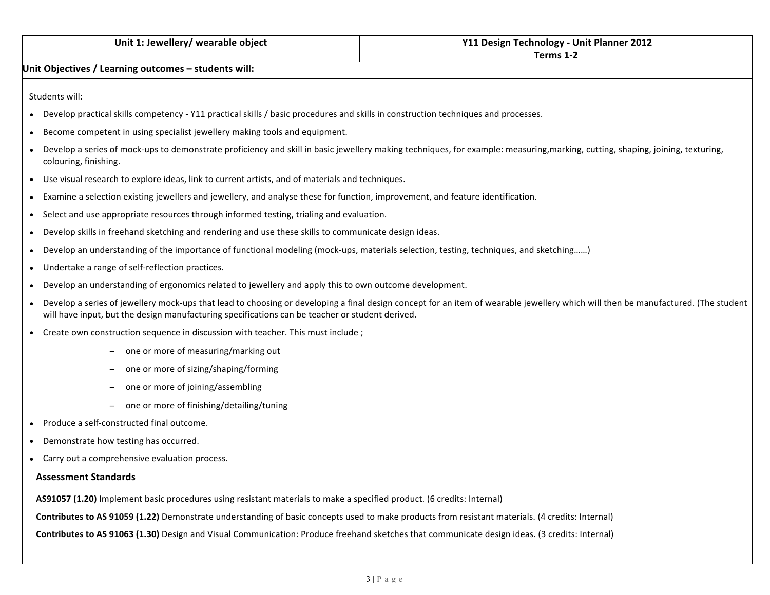## **Unit Objectives / Learning outcomes – students will:**

Students will:

- Develop practical skills competency Y11 practical skills / basic procedures and skills in construction techniques and processes.
- Become competent in using specialist jewellery making tools and equipment.
- Develop a series of mock-ups to demonstrate proficiency and skill in basic jewellery making techniques, for example: measuring,marking, cutting, shaping, joining, texturing, colouring, finishing.
- Use visual research to explore ideas, link to current artists, and of materials and techniques.
- Examine a selection existing jewellers and jewellery, and analyse these for function, improvement, and feature identification.
- Select and use appropriate resources through informed testing, trialing and evaluation.
- Develop skills in freehand sketching and rendering and use these skills to communicate design ideas.
- Develop an understanding of the importance of functional modeling (mock-ups, materials selection, testing, techniques, and sketching......)
- Undertake a range of self-reflection practices.
- Develop an understanding of ergonomics related to jewellery and apply this to own outcome development.
- Develop a series of jewellery mock-ups that lead to choosing or developing a final design concept for an item of wearable jewellery which will then be manufactured. (The student will have input, but the design manufacturing specifications can be teacher or student derived.
- Create own construction sequence in discussion with teacher. This must include ;
	- one or more of measuring/marking out
	- one or more of sizing/shaping/forming
	- one or more of joining/assembling
	- one or more of finishing/detailing/tuning
- $\bullet$  Produce a self-constructed final outcome.
- Demonstrate how testing has occurred.
- Carry out a comprehensive evaluation process.

## **Assessment#Standards**

**AS91057 (1.20)** Implement basic procedures using resistant materials to make a specified product. (6 credits: Internal)

**Contributes to AS 91059 (1.22)** Demonstrate understanding of basic concepts used to make products from resistant materials. (4 credits: Internal)

**Contributes to AS 91063 (1.30)** Design and Visual Communication: Produce freehand sketches that communicate design ideas. (3 credits: Internal)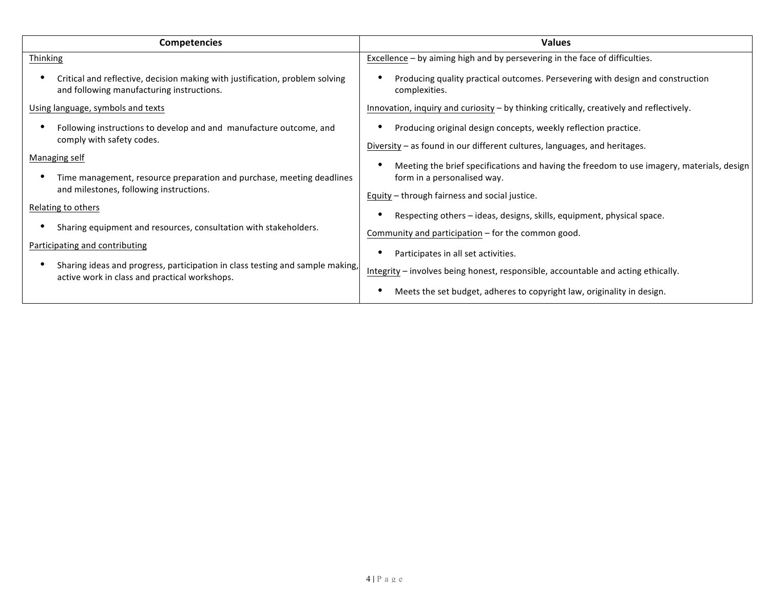| <b>Competencies</b>                                                                                                                                                                                                                                                                                                                                                                                                                                                                                | <b>Values</b>                                                                                                                                                                                                                                                                                                                                                                                                                                                                                                                                                                         |
|----------------------------------------------------------------------------------------------------------------------------------------------------------------------------------------------------------------------------------------------------------------------------------------------------------------------------------------------------------------------------------------------------------------------------------------------------------------------------------------------------|---------------------------------------------------------------------------------------------------------------------------------------------------------------------------------------------------------------------------------------------------------------------------------------------------------------------------------------------------------------------------------------------------------------------------------------------------------------------------------------------------------------------------------------------------------------------------------------|
| Thinking                                                                                                                                                                                                                                                                                                                                                                                                                                                                                           | Excellence - by aiming high and by persevering in the face of difficulties.                                                                                                                                                                                                                                                                                                                                                                                                                                                                                                           |
| Critical and reflective, decision making with justification, problem solving<br>and following manufacturing instructions.                                                                                                                                                                                                                                                                                                                                                                          | Producing quality practical outcomes. Persevering with design and construction<br>complexities.                                                                                                                                                                                                                                                                                                                                                                                                                                                                                       |
| Using language, symbols and texts                                                                                                                                                                                                                                                                                                                                                                                                                                                                  | Innovation, inquiry and curiosity - by thinking critically, creatively and reflectively.                                                                                                                                                                                                                                                                                                                                                                                                                                                                                              |
| Following instructions to develop and and manufacture outcome, and<br>comply with safety codes.<br>Managing self<br>Time management, resource preparation and purchase, meeting deadlines<br>and milestones, following instructions.<br>Relating to others<br>Sharing equipment and resources, consultation with stakeholders.<br>Participating and contributing<br>Sharing ideas and progress, participation in class testing and sample making,<br>active work in class and practical workshops. | Producing original design concepts, weekly reflection practice.<br>Diversity – as found in our different cultures, languages, and heritages.<br>Meeting the brief specifications and having the freedom to use imagery, materials, design<br>form in a personalised way.<br>Equity - through fairness and social justice.<br>Respecting others - ideas, designs, skills, equipment, physical space.<br>Community and participation - for the common good.<br>Participates in all set activities.<br>Integrity - involves being honest, responsible, accountable and acting ethically. |
|                                                                                                                                                                                                                                                                                                                                                                                                                                                                                                    | Meets the set budget, adheres to copyright law, originality in design.                                                                                                                                                                                                                                                                                                                                                                                                                                                                                                                |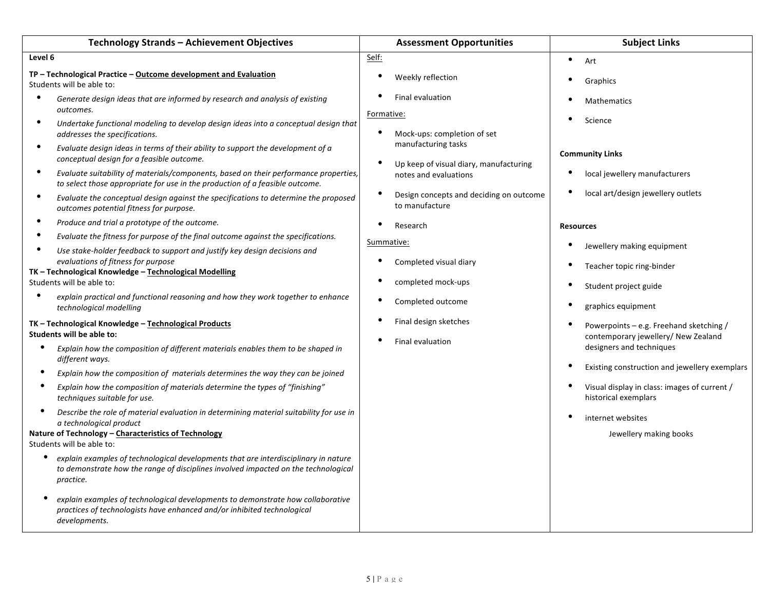| Technology Strands - Achievement Objectives                                                                                                                                                                                                                                                                                                                                                                                                                                                                                                                                                                                                                                                                                                                                                                                                                                                                                                                                                                                                                                                                                                                                                                                                     | <b>Assessment Opportunities</b>                                                                                                                                                                                                                                                                                                                                                                                            | <b>Subject Links</b>                                                                                                                                                                                                                                                               |
|-------------------------------------------------------------------------------------------------------------------------------------------------------------------------------------------------------------------------------------------------------------------------------------------------------------------------------------------------------------------------------------------------------------------------------------------------------------------------------------------------------------------------------------------------------------------------------------------------------------------------------------------------------------------------------------------------------------------------------------------------------------------------------------------------------------------------------------------------------------------------------------------------------------------------------------------------------------------------------------------------------------------------------------------------------------------------------------------------------------------------------------------------------------------------------------------------------------------------------------------------|----------------------------------------------------------------------------------------------------------------------------------------------------------------------------------------------------------------------------------------------------------------------------------------------------------------------------------------------------------------------------------------------------------------------------|------------------------------------------------------------------------------------------------------------------------------------------------------------------------------------------------------------------------------------------------------------------------------------|
| Level 6                                                                                                                                                                                                                                                                                                                                                                                                                                                                                                                                                                                                                                                                                                                                                                                                                                                                                                                                                                                                                                                                                                                                                                                                                                         | Self:                                                                                                                                                                                                                                                                                                                                                                                                                      | $\bullet$<br>Art                                                                                                                                                                                                                                                                   |
| TP - Technological Practice - Outcome development and Evaluation<br>Students will be able to:                                                                                                                                                                                                                                                                                                                                                                                                                                                                                                                                                                                                                                                                                                                                                                                                                                                                                                                                                                                                                                                                                                                                                   | ٠<br>Weekly reflection                                                                                                                                                                                                                                                                                                                                                                                                     | Graphics                                                                                                                                                                                                                                                                           |
| $\bullet$<br>Generate design ideas that are informed by research and analysis of existing<br>outcomes.<br>$\bullet$<br>Undertake functional modeling to develop design ideas into a conceptual design that<br>addresses the specifications.<br>$\bullet$<br>Evaluate design ideas in terms of their ability to support the development of a<br>conceptual design for a feasible outcome.<br>$\bullet$<br>Evaluate suitability of materials/components, based on their performance properties,<br>to select those appropriate for use in the production of a feasible outcome.<br>$\bullet$<br>Evaluate the conceptual design against the specifications to determine the proposed<br>outcomes potential fitness for purpose.<br>$\bullet$<br>Produce and trial a prototype of the outcome.<br>$\bullet$<br>Evaluate the fitness for purpose of the final outcome against the specifications.<br>$\bullet$<br>Use stake-holder feedback to support and justify key design decisions and<br>evaluations of fitness for purpose<br>TK - Technological Knowledge - Technological Modelling<br>Students will be able to:<br>$\bullet$<br>explain practical and functional reasoning and how they work together to enhance<br>technological modelling | ٠<br><b>Final evaluation</b><br>Formative:<br>$\bullet$<br>Mock-ups: completion of set<br>manufacturing tasks<br>$\bullet$<br>Up keep of visual diary, manufacturing<br>notes and evaluations<br>$\bullet$<br>Design concepts and deciding on outcome<br>to manufacture<br>$\bullet$<br>Research<br>Summative:<br>Completed visual diary<br>$\bullet$<br>completed mock-ups<br>$\bullet$<br>Completed outcome<br>$\bullet$ | <b>Mathematics</b><br>Science<br><b>Community Links</b><br>local jewellery manufacturers<br>local art/design jewellery outlets<br><b>Resources</b><br>Jewellery making equipment<br>Teacher topic ring-binder<br>Student project guide<br>graphics equipment                       |
| TK - Technological Knowledge - Technological Products<br>Students will be able to:<br>Explain how the composition of different materials enables them to be shaped in<br>different ways.<br>Explain how the composition of materials determines the way they can be joined<br>Explain how the composition of materials determine the types of "finishing"<br>techniques suitable for use.<br>Describe the role of material evaluation in determining material suitability for use in<br>a technological product<br>Nature of Technology - Characteristics of Technology<br>Students will be able to:<br>$\bullet$<br>explain examples of technological developments that are interdisciplinary in nature<br>to demonstrate how the range of disciplines involved impacted on the technological<br>practice.<br>explain examples of technological developments to demonstrate how collaborative<br>practices of technologists have enhanced and/or inhibited technological<br>developments.                                                                                                                                                                                                                                                      | Final design sketches<br><b>Final evaluation</b>                                                                                                                                                                                                                                                                                                                                                                           | Powerpoints – e.g. Freehand sketching /<br>contemporary jewellery/ New Zealand<br>designers and techniques<br>Existing construction and jewellery exemplars<br>Visual display in class: images of current /<br>historical exemplars<br>internet websites<br>Jewellery making books |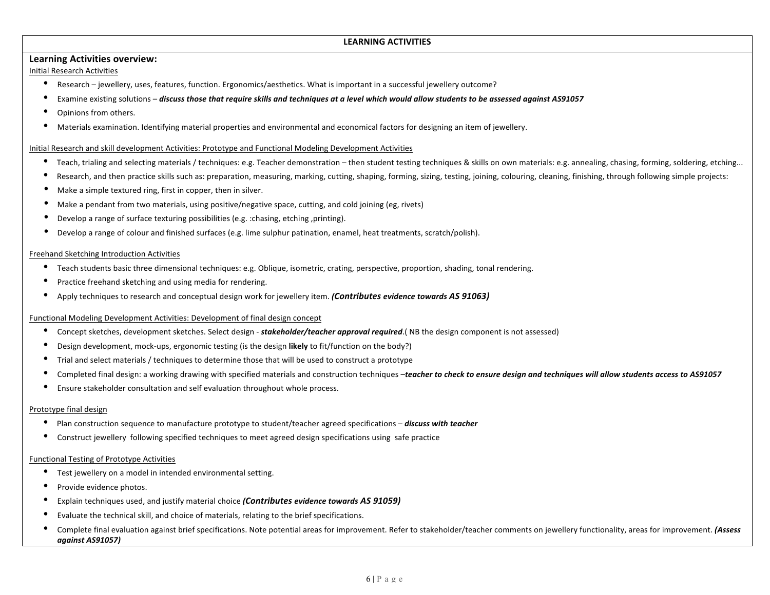## **LEARNING ACTIVITIES**

## **Learning Activities overview:**

Initial!Research!Activities

- Research jewellery, uses, features, function. Ergonomics/aesthetics. What is important in a successful jewellery outcome?
- Examine existing solutions *discuss those that require skills and techniques at a level which would allow students to be assessed against AS91057*
- Opinions from others.
- Materials examination. Identifying material properties and environmental and economical factors for designing an item of jewellery.

#### Initial Research and skill development Activities: Prototype and Functional Modeling Development Activities

- Teach, trialing and selecting materials / techniques: e.g. Teacher demonstration then student testing techniques & skills on own materials: e.g. annealing, chasing, forming, soldering, etching...
- Research, and then practice skills such as: preparation, measuring, marking, cutting, shaping, forming, sizing, testing, joining, colouring, cleaning, finishing, through following simple projects:
- Make a simple textured ring, first in copper, then in silver.
- Make a pendant from two materials, using positive/negative space, cutting, and cold joining (eg, rivets)
- Develop a range of surface texturing possibilities (e.g. :chasing, etching ,printing).
- Develop a range of colour and finished surfaces (e.g. lime sulphur patination, enamel, heat treatments, scratch/polish).

#### Freehand Sketching Introduction Activities

- Teach students basic three dimensional techniques: e.g. Oblique, isometric, crating, perspective, proportion, shading, tonal rendering.
- Practice freehand sketching and using media for rendering.
- Apply techniques to research and conceptual design work for jewellery item. *(Contributes evidence towards AS 91063)*

#### Functional Modeling Development Activities: Development of final design concept

- Concept sketches, development sketches. Select design stakeholder/teacher approval required.( NB the design component is not assessed)
- Design development, mock-ups, ergonomic testing (is the design likely to fit/function on the body?)
- Trial and select materials / techniques to determine those that will be used to construct a prototype
- Completed final design: a working drawing with specified materials and construction techniques –*teacher to check to ensure design and techniques will allow students access to AS91057*
- Ensure stakeholder consultation and self evaluation throughout whole process.

#### Prototype final design

- Plan construction sequence to manufacture prototype to student/teacher agreed specifications *discuss with teacher*
- Construct jewellery following specified techniques to meet agreed design specifications using safe practice

#### Functional Testing of Prototype Activities

- Test jewellery on a model in intended environmental setting.
- Provide evidence photos.
- Explain techniques used, and justify material choice *(Contributes evidence towards AS 91059)*
- Evaluate the technical skill, and choice of materials, relating to the brief specifications.
- Complete final evaluation against brief specifications. Note potential areas for improvement. Refer to stakeholder/teacher comments on jewellery functionality, areas for improvement. *(Assess against AS91057)*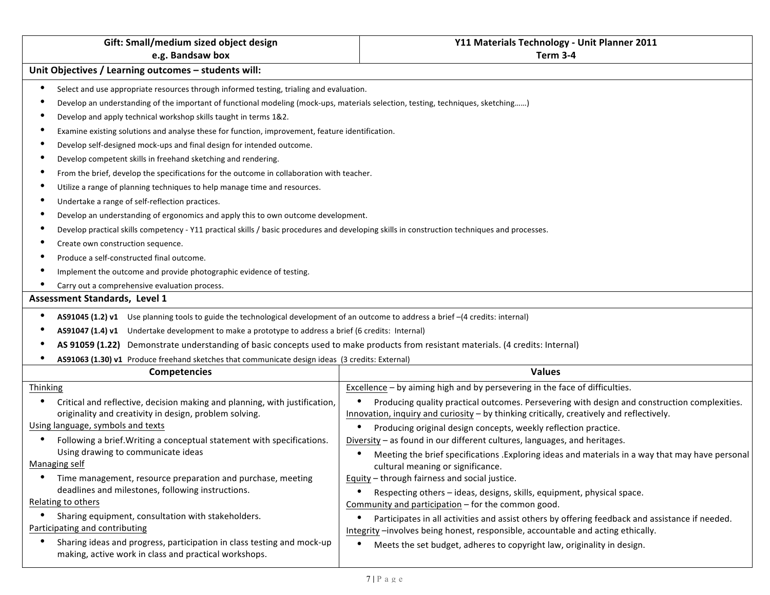| Gift: Small/medium sized object design                                                                                                        | Y11 Materials Technology - Unit Planner 2011                                                                                                                                             |
|-----------------------------------------------------------------------------------------------------------------------------------------------|------------------------------------------------------------------------------------------------------------------------------------------------------------------------------------------|
| e.g. Bandsaw box                                                                                                                              | Term 3-4                                                                                                                                                                                 |
| Unit Objectives / Learning outcomes - students will:                                                                                          |                                                                                                                                                                                          |
| Select and use appropriate resources through informed testing, trialing and evaluation.                                                       |                                                                                                                                                                                          |
| Develop an understanding of the important of functional modeling (mock-ups, materials selection, testing, techniques, sketching)              |                                                                                                                                                                                          |
| Develop and apply technical workshop skills taught in terms 1&2.                                                                              |                                                                                                                                                                                          |
| Examine existing solutions and analyse these for function, improvement, feature identification.                                               |                                                                                                                                                                                          |
| Develop self-designed mock-ups and final design for intended outcome.                                                                         |                                                                                                                                                                                          |
| Develop competent skills in freehand sketching and rendering.                                                                                 |                                                                                                                                                                                          |
| From the brief, develop the specifications for the outcome in collaboration with teacher.                                                     |                                                                                                                                                                                          |
| Utilize a range of planning techniques to help manage time and resources.                                                                     |                                                                                                                                                                                          |
| Undertake a range of self-reflection practices.                                                                                               |                                                                                                                                                                                          |
| Develop an understanding of ergonomics and apply this to own outcome development.                                                             |                                                                                                                                                                                          |
| Develop practical skills competency - Y11 practical skills / basic procedures and developing skills in construction techniques and processes. |                                                                                                                                                                                          |
| Create own construction sequence.                                                                                                             |                                                                                                                                                                                          |
| Produce a self-constructed final outcome.                                                                                                     |                                                                                                                                                                                          |
| Implement the outcome and provide photographic evidence of testing.                                                                           |                                                                                                                                                                                          |
| Carry out a comprehensive evaluation process.                                                                                                 |                                                                                                                                                                                          |
| Assessment Standards, Level 1                                                                                                                 |                                                                                                                                                                                          |
| AS91045 (1.2) v1 Use planning tools to guide the technological development of an outcome to address a brief -(4 credits: internal)            |                                                                                                                                                                                          |
| AS91047 (1.4) v1 Undertake development to make a prototype to address a brief (6 credits: Internal)                                           |                                                                                                                                                                                          |
| AS 91059 (1.22) Demonstrate understanding of basic concepts used to make products from resistant materials. (4 credits: Internal)             |                                                                                                                                                                                          |
| AS91063 (1.30) v1 Produce freehand sketches that communicate design ideas (3 credits: External)                                               |                                                                                                                                                                                          |
| <b>Competencies</b>                                                                                                                           | <b>Values</b>                                                                                                                                                                            |
| Thinking                                                                                                                                      | Excellence - by aiming high and by persevering in the face of difficulties.                                                                                                              |
| Critical and reflective, decision making and planning, with justification,<br>originality and creativity in design, problem solving.          | Producing quality practical outcomes. Persevering with design and construction complexities.<br>Innovation, inquiry and curiosity - by thinking critically, creatively and reflectively. |
| Using language, symbols and texts                                                                                                             | Producing original design concepts, weekly reflection practice.<br>$\bullet$                                                                                                             |
| Following a brief. Writing a conceptual statement with specifications.                                                                        | Diversity - as found in our different cultures, languages, and heritages.                                                                                                                |
| Using drawing to communicate ideas<br>Managing self                                                                                           | Meeting the brief specifications . Exploring ideas and materials in a way that may have personal                                                                                         |
| Time management, resource preparation and purchase, meeting                                                                                   | cultural meaning or significance.<br>Equity - through fairness and social justice.                                                                                                       |
| deadlines and milestones, following instructions.                                                                                             | Respecting others - ideas, designs, skills, equipment, physical space.                                                                                                                   |
| Relating to others                                                                                                                            | Community and participation - for the common good.                                                                                                                                       |
| Sharing equipment, consultation with stakeholders.                                                                                            | Participates in all activities and assist others by offering feedback and assistance if needed.<br>٠                                                                                     |
| Participating and contributing                                                                                                                | Integrity -involves being honest, responsible, accountable and acting ethically.                                                                                                         |
| Sharing ideas and progress, participation in class testing and mock-up<br>٠<br>making, active work in class and practical workshops.          | Meets the set budget, adheres to copyright law, originality in design.<br>$\bullet$                                                                                                      |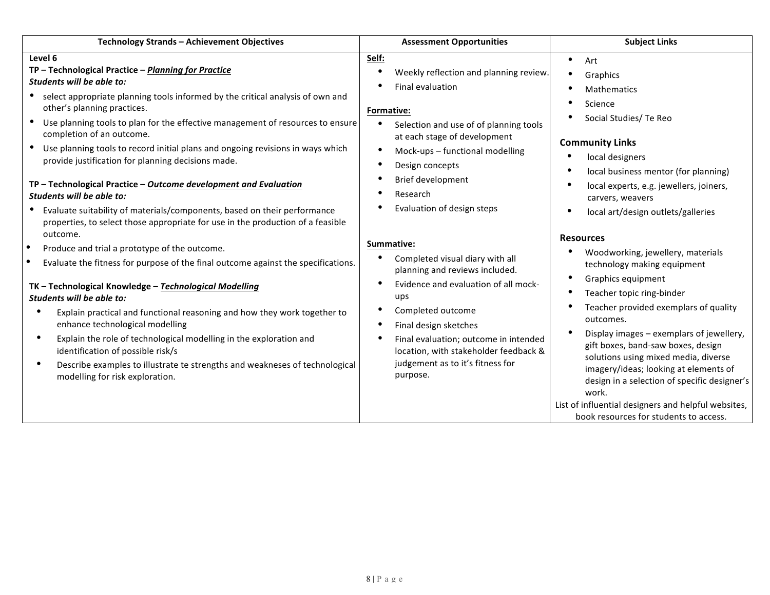| Technology Strands - Achievement Objectives                                                                                                                                                                                                                                                                                                                                                                                                                                                                                                                                                                                                                                                                                                                                                                                                                                                                                                                                                                                                                                                                                                                                                                                                                                                                                                                                                                                                                                       | <b>Subject Links</b><br><b>Assessment Opportunities</b>                                                                                                                                                                                                                                                                                                                                                                                                                                                                                                                                                                                                                                                                                                                                                                                                                                                                                                                                                                                                                                                                                                                                                                             |
|-----------------------------------------------------------------------------------------------------------------------------------------------------------------------------------------------------------------------------------------------------------------------------------------------------------------------------------------------------------------------------------------------------------------------------------------------------------------------------------------------------------------------------------------------------------------------------------------------------------------------------------------------------------------------------------------------------------------------------------------------------------------------------------------------------------------------------------------------------------------------------------------------------------------------------------------------------------------------------------------------------------------------------------------------------------------------------------------------------------------------------------------------------------------------------------------------------------------------------------------------------------------------------------------------------------------------------------------------------------------------------------------------------------------------------------------------------------------------------------|-------------------------------------------------------------------------------------------------------------------------------------------------------------------------------------------------------------------------------------------------------------------------------------------------------------------------------------------------------------------------------------------------------------------------------------------------------------------------------------------------------------------------------------------------------------------------------------------------------------------------------------------------------------------------------------------------------------------------------------------------------------------------------------------------------------------------------------------------------------------------------------------------------------------------------------------------------------------------------------------------------------------------------------------------------------------------------------------------------------------------------------------------------------------------------------------------------------------------------------|
| Level 6<br>Self:<br>TP - Technological Practice - Planning for Practice<br>Students will be able to:<br>select appropriate planning tools informed by the critical analysis of own and<br>other's planning practices.<br>Formative:<br>Use planning tools to plan for the effective management of resources to ensure<br>٠<br>completion of an outcome.<br>Use planning tools to record initial plans and ongoing revisions in ways which<br>$\bullet$<br>provide justification for planning decisions made.<br>٠<br>٠<br>TP - Technological Practice - Outcome development and Evaluation<br>Research<br>Students will be able to:<br>Evaluate suitability of materials/components, based on their performance<br>properties, to select those appropriate for use in the production of a feasible<br>outcome.<br>Summative:<br>Produce and trial a prototype of the outcome.<br>Evaluate the fitness for purpose of the final outcome against the specifications.<br>$\bullet$<br>TK - Technological Knowledge - Technological Modelling<br>ups<br>Students will be able to:<br>Explain practical and functional reasoning and how they work together to<br>$\bullet$<br>enhance technological modelling<br>$\bullet$<br>$\bullet$<br>Explain the role of technological modelling in the exploration and<br>identification of possible risk/s<br>Describe examples to illustrate te strengths and weakneses of technological<br>٠<br>purpose.<br>modelling for risk exploration. | Art<br>Weekly reflection and planning review.<br>Graphics<br>Final evaluation<br><b>Mathematics</b><br>Science<br>Social Studies/ Te Reo<br>Selection and use of of planning tools<br>at each stage of development<br><b>Community Links</b><br>Mock-ups - functional modelling<br>local designers<br>Design concepts<br>local business mentor (for planning)<br>Brief development<br>local experts, e.g. jewellers, joiners,<br>carvers, weavers<br>Evaluation of design steps<br>local art/design outlets/galleries<br><b>Resources</b><br>Woodworking, jewellery, materials<br>Completed visual diary with all<br>technology making equipment<br>planning and reviews included.<br>Graphics equipment<br>Evidence and evaluation of all mock-<br>Teacher topic ring-binder<br>Teacher provided exemplars of quality<br>Completed outcome<br>outcomes.<br>Final design sketches<br>Display images - exemplars of jewellery,<br>Final evaluation; outcome in intended<br>gift boxes, band-saw boxes, design<br>location, with stakeholder feedback &<br>solutions using mixed media, diverse<br>judgement as to it's fitness for<br>imagery/ideas; looking at elements of<br>design in a selection of specific designer's<br>work. |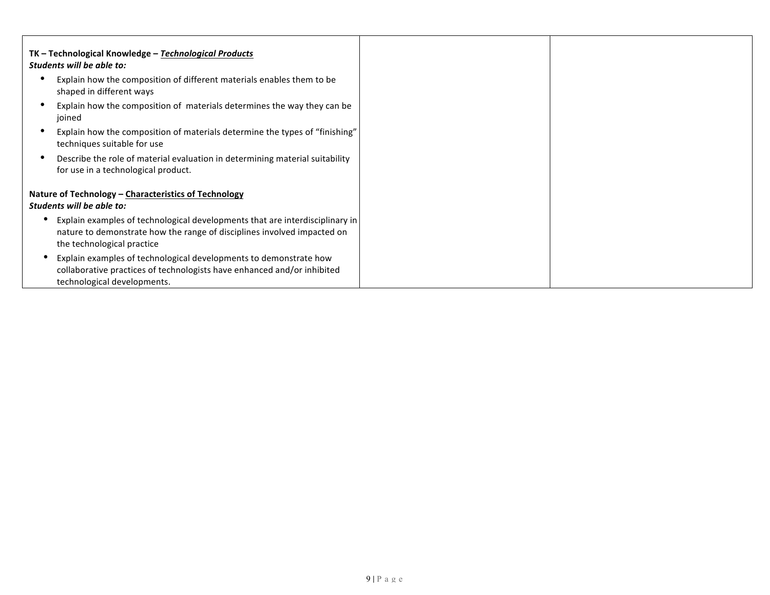| TK - Technological Knowledge - Technological Products<br>Students will be able to:                                                                                                    |
|---------------------------------------------------------------------------------------------------------------------------------------------------------------------------------------|
| Explain how the composition of different materials enables them to be<br>shaped in different ways                                                                                     |
| Explain how the composition of materials determines the way they can be<br>joined                                                                                                     |
| Explain how the composition of materials determine the types of "finishing"<br>techniques suitable for use                                                                            |
| Describe the role of material evaluation in determining material suitability<br>for use in a technological product.                                                                   |
| Nature of Technology - Characteristics of Technology<br>Students will be able to:                                                                                                     |
| Explain examples of technological developments that are interdisciplinary in<br>nature to demonstrate how the range of disciplines involved impacted on<br>the technological practice |
| Explain examples of technological developments to demonstrate how<br>collaborative practices of technologists have enhanced and/or inhibited<br>technological developments.           |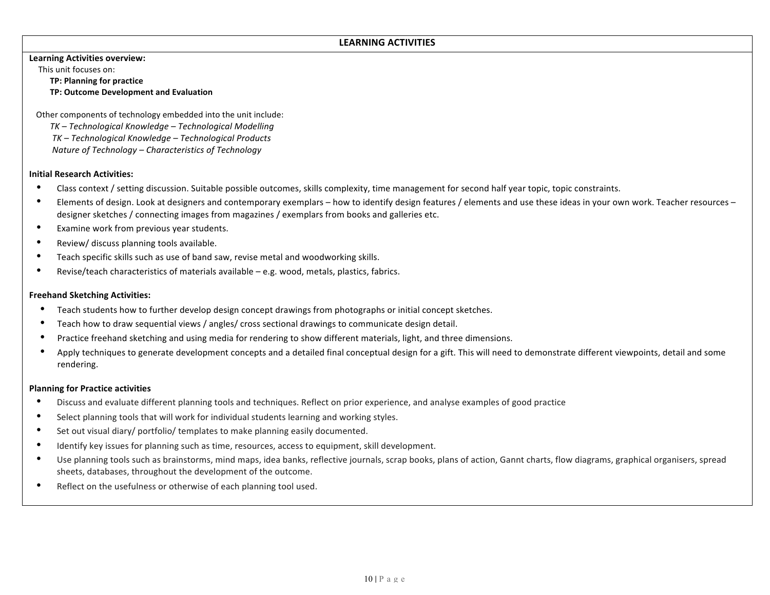## LEARNING ACTIVITIES

#### **Learning Activities overview:**

This unit focuses on:

**TP: Planning for practice** 

**TP: Outcome Development and Evaluation** 

Other components of technology embedded into the unit include:

*TK)– Technological)Knowledge)– Technological)Modelling TK)– Technological)Knowledge)– Technological)Products Nature of Technology – Characteristics of Technology* 

### **Initial Research Activities:**

- Class context / setting discussion. Suitable possible outcomes, skills complexity, time management for second half year topic, topic constraints.
- Elements of design. Look at designers and contemporary exemplars how to identify design features / elements and use these ideas in your own work. Teacher resources designer sketches / connecting images from magazines / exemplars from books and galleries etc.
- Examine work from previous year students.
- Review/ discuss planning tools available.
- Teach specific skills such as use of band saw, revise metal and woodworking skills.
- Revise/teach characteristics of materials available e.g. wood, metals, plastics, fabrics.

### **Freehand Sketching Activities:**

- Teach students how to further develop design concept drawings from photographs or initial concept sketches.
- Teach how to draw sequential views / angles/ cross sectional drawings to communicate design detail.
- Practice freehand sketching and using media for rendering to show different materials, light, and three dimensions.
- Apply techniques to generate development concepts and a detailed final conceptual design for a gift. This will need to demonstrate different viewpoints, detail and some rendering.

#### **Planning for Practice activities**

- Discuss and evaluate different planning tools and techniques. Reflect on prior experience, and analyse examples of good practice
- Select planning tools that will work for individual students learning and working styles.
- Set out visual diary/ portfolio/ templates to make planning easily documented.
- Identify key issues for planning such as time, resources, access to equipment, skill development.
- Use planning tools such as brainstorms, mind maps, idea banks, reflective journals, scrap books, plans of action, Gannt charts, flow diagrams, graphical organisers, spread sheets, databases, throughout the development of the outcome.
- Reflect on the usefulness or otherwise of each planning tool used.